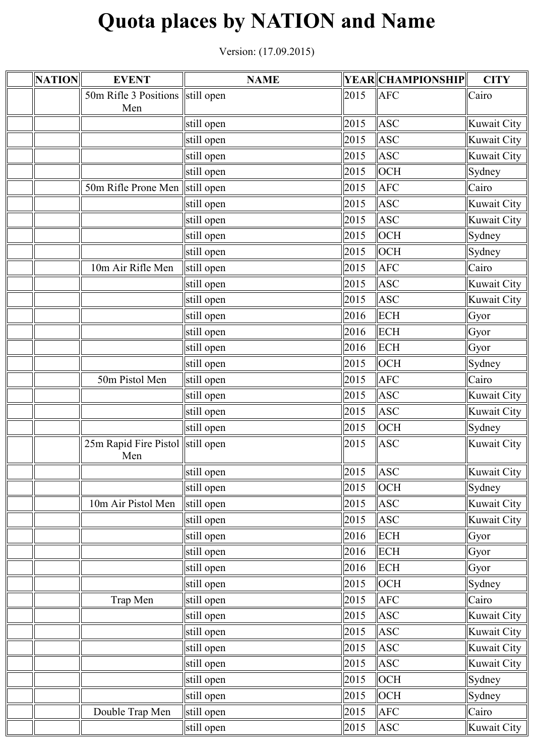## Quota places by NATION and Name

Version: (17.09.2015)

| <b>NATION</b> | <b>EVENT</b>                                                      | <b>NAME</b> |      | <b>YEAR CHAMPIONSHIP</b> | <b>CITY</b> |
|---------------|-------------------------------------------------------------------|-------------|------|--------------------------|-------------|
|               | 50m Rifle 3 Positions $\left\  \text{still open} \right\ $<br>Men |             | 2015 | <b>AFC</b>               | Cairo       |
|               |                                                                   | still open  | 2015 | <b>ASC</b>               | Kuwait City |
|               |                                                                   | still open  | 2015 | <b>ASC</b>               | Kuwait City |
|               |                                                                   | still open  | 2015 | <b>ASC</b>               | Kuwait City |
|               |                                                                   | still open  | 2015 | OCH                      | Sydney      |
|               | 50m Rifle Prone Men   still open                                  |             | 2015 | <b>AFC</b>               | Cairo       |
|               |                                                                   | still open  | 2015 | <b>ASC</b>               | Kuwait City |
|               |                                                                   | still open  | 2015 | <b>ASC</b>               | Kuwait City |
|               |                                                                   | still open  | 2015 | OCH                      | Sydney      |
|               |                                                                   | still open  | 2015 | OCH                      | Sydney      |
|               | 10m Air Rifle Men                                                 | still open  | 2015 | <b>AFC</b>               | Cairo       |
|               |                                                                   | still open  | 2015 | <b>ASC</b>               | Kuwait City |
|               |                                                                   | still open  | 2015 | <b>ASC</b>               | Kuwait City |
|               |                                                                   | still open  | 2016 | <b>ECH</b>               | Gyor        |
|               |                                                                   | still open  | 2016 | <b>ECH</b>               | Gyor        |
|               |                                                                   | still open  | 2016 | <b>ECH</b>               | Gyor        |
|               |                                                                   | still open  | 2015 | OCH                      | Sydney      |
|               | 50m Pistol Men                                                    | still open  | 2015 | <b>AFC</b>               | Cairo       |
|               |                                                                   | still open  | 2015 | <b>ASC</b>               | Kuwait City |
|               |                                                                   | still open  | 2015 | <b>ASC</b>               | Kuwait City |
|               |                                                                   | still open  | 2015 | <b>OCH</b>               | Sydney      |
|               | 25m Rapid Fire Pistol still open<br>Men                           |             | 2015 | <b>ASC</b>               | Kuwait City |
|               |                                                                   | still open  | 2015 | ASC                      | Kuwait City |
|               |                                                                   | still open  | 2015 | OCH                      | Sydney      |
|               | 10m Air Pistol Men                                                | still open  | 2015 | <b>ASC</b>               | Kuwait City |
|               |                                                                   | still open  | 2015 | <b>ASC</b>               | Kuwait City |
|               |                                                                   | still open  | 2016 | <b>ECH</b>               | Gyor        |
|               |                                                                   | still open  | 2016 | <b>ECH</b>               | Gyor        |
|               |                                                                   | still open  | 2016 | <b>ECH</b>               | Gyor        |
|               |                                                                   | still open  | 2015 | <b>OCH</b>               | Sydney      |
|               | Trap Men                                                          | still open  | 2015 | <b>AFC</b>               | Cairo       |
|               |                                                                   | still open  | 2015 | <b>ASC</b>               | Kuwait City |
|               |                                                                   | still open  | 2015 | <b>ASC</b>               | Kuwait City |
|               |                                                                   | still open  | 2015 | <b>ASC</b>               | Kuwait City |
|               |                                                                   | still open  | 2015 | <b>ASC</b>               | Kuwait City |
|               |                                                                   | still open  | 2015 | OCH                      | Sydney      |
|               |                                                                   | still open  | 2015 | OCH                      | Sydney      |
|               | Double Trap Men                                                   | still open  | 2015 | <b>AFC</b>               | Cairo       |
|               |                                                                   | still open  | 2015 | <b>ASC</b>               | Kuwait City |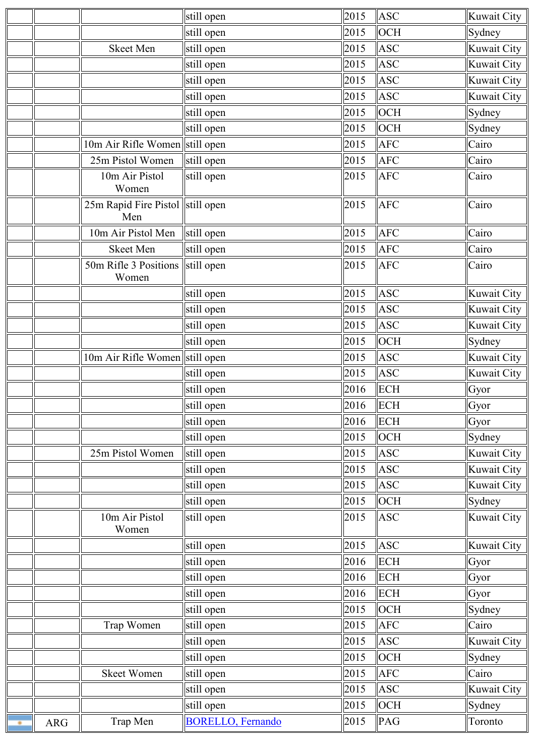|           |     |                                             | still open               | 2015 | <b>ASC</b> | Kuwait City |
|-----------|-----|---------------------------------------------|--------------------------|------|------------|-------------|
|           |     |                                             | still open               | 2015 | OCH        | Sydney      |
|           |     | <b>Skeet Men</b>                            | still open               | 2015 | <b>ASC</b> | Kuwait City |
|           |     |                                             | still open               | 2015 | <b>ASC</b> | Kuwait City |
|           |     |                                             | still open               | 2015 | <b>ASC</b> | Kuwait City |
|           |     |                                             | still open               | 2015 | <b>ASC</b> | Kuwait City |
|           |     |                                             | still open               | 2015 | OCH        | Sydney      |
|           |     |                                             | still open               | 2015 | OCH        | Sydney      |
|           |     | $10m$ Air Rifle Women still open            |                          | 2015 | <b>AFC</b> | Cairo       |
|           |     | 25m Pistol Women                            | still open               | 2015 | <b>AFC</b> | Cairo       |
|           |     | 10m Air Pistol<br>Women                     | still open               | 2015 | <b>AFC</b> | Cairo       |
|           |     | $25m$ Rapid Fire Pistol still open<br>Men   |                          | 2015 | <b>AFC</b> | Cairo       |
|           |     | 10m Air Pistol Men                          | still open               | 2015 | <b>AFC</b> | Cairo       |
|           |     | Skeet Men                                   | still open               | 2015 | <b>AFC</b> | Cairo       |
|           |     | 50m Rifle 3 Positions   still open<br>Women |                          | 2015 | <b>AFC</b> | Cairo       |
|           |     |                                             | still open               | 2015 | <b>ASC</b> | Kuwait City |
|           |     |                                             | still open               | 2015 | ASC        | Kuwait City |
|           |     |                                             | still open               | 2015 | <b>ASC</b> | Kuwait City |
|           |     |                                             | still open               | 2015 | OCH        | Sydney      |
|           |     | 10m Air Rifle Women still open              |                          | 2015 | <b>ASC</b> | Kuwait City |
|           |     |                                             | still open               | 2015 | <b>ASC</b> | Kuwait City |
|           |     |                                             | still open               | 2016 | ECH        | Gyor        |
|           |     |                                             | still open               | 2016 | ECH        | Gyor        |
|           |     |                                             | still open               | 2016 | ECH        | Gyor        |
|           |     |                                             | still open               | 2015 | OCH        | Sydney      |
|           |     | 25m Pistol Women                            | still open               | 2015 | <b>ASC</b> | Kuwait City |
|           |     |                                             | still open               | 2015 | <b>ASC</b> | Kuwait City |
|           |     |                                             | still open               | 2015 | <b>ASC</b> | Kuwait City |
|           |     |                                             | still open               | 2015 | OCH        | Sydney      |
|           |     | 10m Air Pistol<br>Women                     | still open               | 2015 | <b>ASC</b> | Kuwait City |
|           |     |                                             | still open               | 2015 | <b>ASC</b> | Kuwait City |
|           |     |                                             | still open               | 2016 | ECH        | Gyor        |
|           |     |                                             | still open               | 2016 | ECH        | Gyor        |
|           |     |                                             | still open               | 2016 | ECH        | Gyor        |
|           |     |                                             | still open               | 2015 | OCH        | Sydney      |
|           |     | Trap Women                                  | still open               | 2015 | <b>AFC</b> | Cairo       |
|           |     |                                             | still open               | 2015 | <b>ASC</b> | Kuwait City |
|           |     |                                             | still open               | 2015 | OCH        | Sydney      |
|           |     | <b>Skeet Women</b>                          | still open               | 2015 | <b>AFC</b> | Cairo       |
|           |     |                                             | still open               | 2015 | <b>ASC</b> | Kuwait City |
|           |     |                                             | still open               | 2015 | OCH        | Sydney      |
| $\bullet$ | ARG | Trap Men                                    | <b>BORELLO, Fernando</b> | 2015 | PAG        | Toronto     |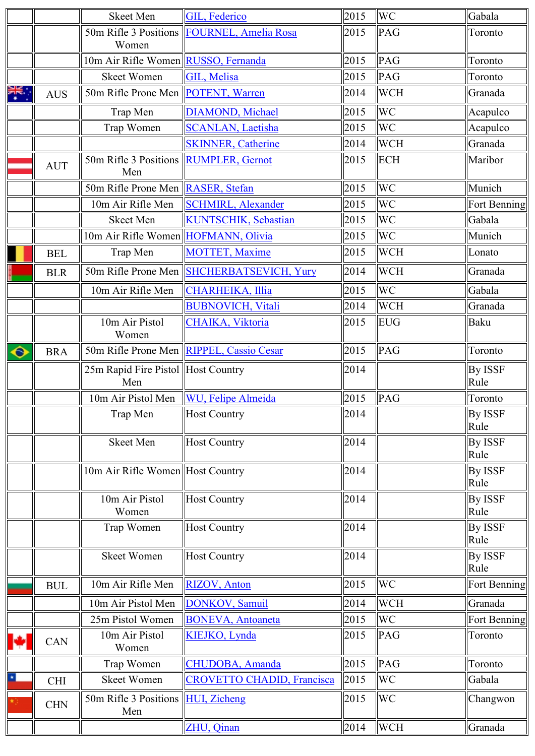|                  |            | <b>Skeet Men</b>                             | GIL, Federico                              | 2015 | <b>WC</b>  | Gabala                 |
|------------------|------------|----------------------------------------------|--------------------------------------------|------|------------|------------------------|
|                  |            | Women                                        | 50m Rifle 3 Positions FOURNEL, Amelia Rosa | 2015 | PAG        | Toronto                |
|                  |            | 10m Air Rifle Women RUSSO, Fernanda          |                                            | 2015 | PAG        | Toronto                |
|                  |            | <b>Skeet Women</b>                           | <b>GIL, Melisa</b>                         | 2015 | PAG        | Toronto                |
| 票.               | <b>AUS</b> | 50m Rifle Prone Men POTENT, Warren           |                                            | 2014 | <b>WCH</b> | Granada                |
|                  |            | Trap Men                                     | <b>DIAMOND, Michael</b>                    | 2015 | <b>WC</b>  | Acapulco               |
|                  |            | Trap Women                                   | <b>SCANLAN, Laetisha</b>                   | 2015 | <b>WC</b>  | Acapulco               |
|                  |            |                                              | <b>SKINNER, Catherine</b>                  | 2014 | <b>WCH</b> | Granada                |
|                  | <b>AUT</b> | 50m Rifle 3 Positions RUMPLER, Gernot<br>Men |                                            | 2015 | ECH        | Maribor                |
|                  |            | 50m Rifle Prone Men RASER, Stefan            |                                            | 2015 | <b>WC</b>  | Munich                 |
|                  |            | 10m Air Rifle Men                            | <b>SCHMIRL, Alexander</b>                  | 2015 | <b>WC</b>  | Fort Benning           |
|                  |            | <b>Skeet Men</b>                             | <b>KUNTSCHIK</b> , Sebastian               | 2015 | <b>WC</b>  | Gabala                 |
|                  |            | 10m Air Rifle Women HOFMANN, Olivia          |                                            | 2015 | <b>WC</b>  | Munich                 |
|                  | <b>BEL</b> | Trap Men                                     | <b>MOTTET, Maxime</b>                      | 2015 | <b>WCH</b> | Lonato                 |
|                  | <b>BLR</b> |                                              | 50m Rifle Prone Men SHCHERBATSEVICH, Yury  | 2014 | <b>WCH</b> | Granada                |
|                  |            | 10m Air Rifle Men                            | <b>CHARHEIKA</b> , Illia                   | 2015 | <b>WC</b>  | Gabala                 |
|                  |            |                                              | <b>BUBNOVICH, Vitali</b>                   | 2014 | <b>WCH</b> | Granada                |
|                  |            | 10m Air Pistol<br>Women                      | CHAIKA, Viktoria                           | 2015 | EUG        | Baku                   |
| $\ddot{\bullet}$ | <b>BRA</b> |                                              | 50m Rifle Prone Men RIPPEL, Cassio Cesar   | 2015 | PAG        | Toronto                |
|                  |            | 25m Rapid Fire Pistol  Host Country<br>Men   |                                            | 2014 |            | <b>By ISSF</b><br>Rule |
|                  |            | 10m Air Pistol Men   WU, Felipe Almeida      |                                            | 2015 | PAG        | Toronto                |
|                  |            | Trap Men                                     | Host Country                               | 2014 |            | <b>By ISSF</b><br>Rule |
|                  |            | <b>Skeet Men</b>                             | <b>Host Country</b>                        | 2014 |            | <b>By ISSF</b><br>Rule |
|                  |            | 10m Air Rifle Women Host Country             |                                            | 2014 |            | <b>By ISSF</b><br>Rule |
|                  |            | 10m Air Pistol<br>Women                      | <b>Host Country</b>                        | 2014 |            | <b>By ISSF</b><br>Rule |
|                  |            | Trap Women                                   | <b>Host Country</b>                        | 2014 |            | <b>By ISSF</b><br>Rule |
|                  |            | <b>Skeet Women</b>                           | <b>Host Country</b>                        | 2014 |            | <b>By ISSF</b><br>Rule |
|                  | <b>BUL</b> | 10m Air Rifle Men                            | <b>RIZOV</b> , Anton                       | 2015 | <b>WC</b>  | Fort Benning           |
|                  |            | 10m Air Pistol Men                           | DONKOV, Samuil                             | 2014 | <b>WCH</b> | Granada                |
|                  |            | 25m Pistol Women                             | <b>BONEVA</b> , Antoaneta                  | 2015 | <b>WC</b>  | Fort Benning           |
|                  | CAN        | 10m Air Pistol<br>Women                      | KIEJKO, Lynda                              | 2015 | PAG        | Toronto                |
|                  |            | Trap Women                                   | CHUDOBA, Amanda                            | 2015 | PAG        | Toronto                |
| <b>x</b>         | <b>CHI</b> | <b>Skeet Women</b>                           | CROVETTO CHADID, Francisca                 | 2015 | WC         | Gabala                 |
|                  | <b>CHN</b> | 50m Rifle 3 Positions<br>Men                 | HUI, Zicheng                               | 2015 | <b>WC</b>  | Changwon               |
|                  |            |                                              | ZHU, Qinan                                 | 2014 | <b>WCH</b> | Granada                |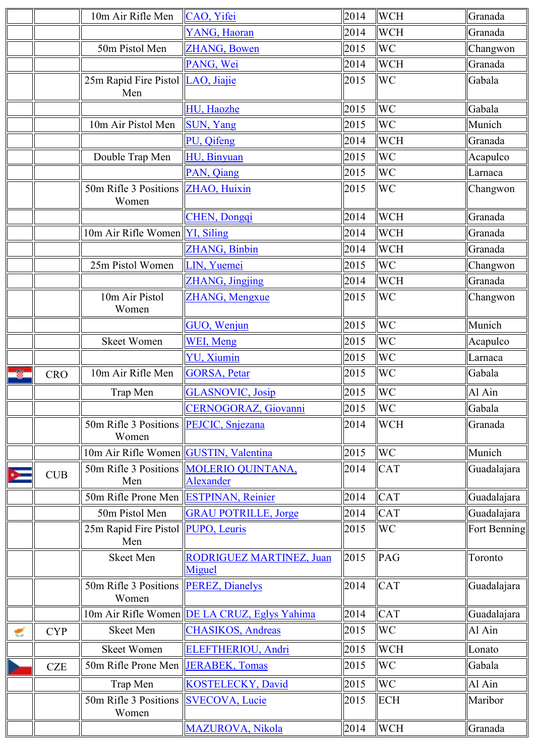|   |            | 10m Air Rifle Men                               | CAO, Yifei                                           | 2014 | <b>WCH</b> | Granada      |
|---|------------|-------------------------------------------------|------------------------------------------------------|------|------------|--------------|
|   |            |                                                 | YANG, Haoran                                         | 2014 | <b>WCH</b> | Granada      |
|   |            | 50m Pistol Men                                  | <b>ZHANG, Bowen</b>                                  | 2015 | <b>WC</b>  | Changwon     |
|   |            |                                                 | PANG, Wei                                            | 2014 | <b>WCH</b> | Granada      |
|   |            | 25m Rapid Fire Pistol LAO, Jiajie<br>Men        |                                                      | 2015 | <b>WC</b>  | Gabala       |
|   |            |                                                 | HU, Haozhe                                           | 2015 | <b>WC</b>  | Gabala       |
|   |            | 10m Air Pistol Men                              | <b>SUN, Yang</b>                                     | 2015 | <b>WC</b>  | Munich       |
|   |            |                                                 | PU, Qifeng                                           | 2014 | <b>WCH</b> | Granada      |
|   |            | Double Trap Men                                 | HU, Binyuan                                          | 2015 | <b>WC</b>  | Acapulco     |
|   |            |                                                 | PAN, Qiang                                           | 2015 | <b>WC</b>  | Larnaca      |
|   |            | 50m Rifle 3 Positions<br>Women                  | ZHAO, Huixin                                         | 2015 | <b>WC</b>  | Changwon     |
|   |            |                                                 | <b>CHEN</b> , Dongqi                                 | 2014 | <b>WCH</b> | Granada      |
|   |            | 10m Air Rifle Women YI, Siling                  |                                                      | 2014 | <b>WCH</b> | Granada      |
|   |            |                                                 | <b>ZHANG, Binbin</b>                                 | 2014 | <b>WCH</b> | Granada      |
|   |            | 25m Pistol Women                                | LIN, Yuemei                                          | 2015 | <b>WC</b>  | Changwon     |
|   |            |                                                 | <b>ZHANG</b> , Jingjing                              | 2014 | <b>WCH</b> | Granada      |
|   |            | 10m Air Pistol<br>Women                         | ZHANG, Mengxue                                       | 2015 | <b>WC</b>  | Changwon     |
|   |            |                                                 | GUO, Wenjun                                          | 2015 | <b>WC</b>  | Munich       |
|   |            | <b>Skeet Women</b>                              | <b>WEI, Meng</b>                                     | 2015 | <b>WC</b>  | Acapulco     |
|   |            |                                                 | YU, Xiumin                                           | 2015 | <b>WC</b>  | Larnaca      |
| 雞 | <b>CRO</b> | 10m Air Rifle Men                               | <b>GORSA</b> , Petar                                 | 2015 | <b>WC</b>  | Gabala       |
|   |            | Trap Men                                        | <b>GLASNOVIC, Josip</b>                              | 2015 | <b>WC</b>  | Al Ain       |
|   |            |                                                 | <b>CERNOGORAZ, Giovanni</b>                          | 2015 | <b>WC</b>  | Gabala       |
|   |            | 50m Rifle 3 Positions PEJCIC, Snjezana<br>Women |                                                      | 2014 | <b>WCH</b> | Granada      |
|   |            | 10m Air Rifle Women GUSTIN, Valentina           |                                                      | 2015 | <b>WC</b>  | Munich       |
|   | CUB        | Men                                             | 50m Rifle 3 Positions MOLERIO QUINTANA,<br>Alexander | 2014 | CAT        | Guadalajara  |
|   |            | 50m Rifle Prone Men ESTPINAN, Reinier           |                                                      | 2014 | <b>CAT</b> | Guadalajara  |
|   |            | 50m Pistol Men                                  | <b>GRAU POTRILLE, Jorge</b>                          | 2014 | <b>CAT</b> | Guadalajara  |
|   |            | 25m Rapid Fire Pistol PUPO, Leuris<br>Men       |                                                      | 2015 | <b>WC</b>  | Fort Benning |
|   |            | <b>Skeet Men</b>                                | RODRIGUEZ MARTINEZ, Juan<br>Miguel                   | 2015 | PAG        | Toronto      |
|   |            | 50m Rifle 3 Positions<br>Women                  | <b>PEREZ, Dianelys</b>                               | 2014 | <b>CAT</b> | Guadalajara  |
|   |            |                                                 | 10m Air Rifle Women DE LA CRUZ, Eglys Yahima         | 2014 | <b>CAT</b> | Guadalajara  |
|   | <b>CYP</b> | Skeet Men                                       | <b>CHASIKOS</b> , Andreas                            | 2015 | <b>WC</b>  | Al Ain       |
|   |            | <b>Skeet Women</b>                              | ELEFTHERIOU, Andri                                   | 2015 | <b>WCH</b> | Lonato       |
|   | <b>CZE</b> | 50m Rifle Prone Men JERABEK, Tomas              |                                                      | 2015 | <b>WC</b>  | Gabala       |
|   |            | Trap Men                                        | <b>KOSTELECKY, David</b>                             | 2015 | <b>WC</b>  | Al Ain       |
|   |            | 50m Rifle 3 Positions                           | <b>SVECOVA, Lucie</b>                                | 2015 | ECH        | Maribor      |
|   |            | Women                                           |                                                      |      |            |              |
|   |            |                                                 | MAZUROVA, Nikola                                     | 2014 | <b>WCH</b> | Granada      |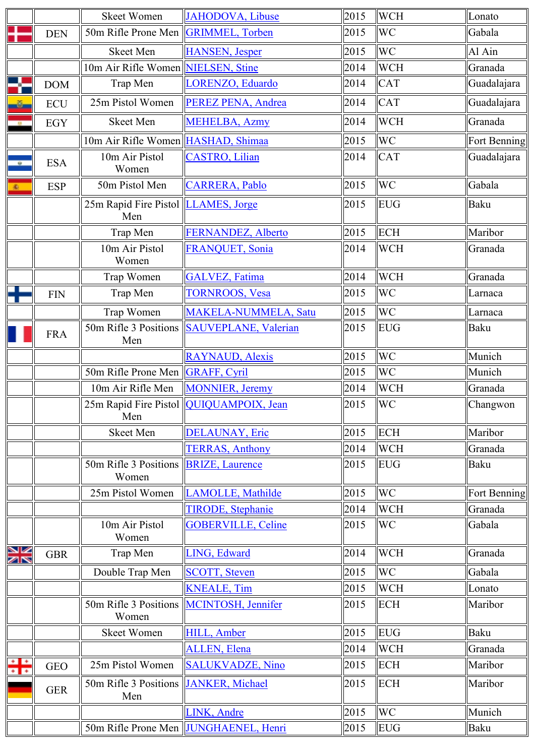|                                     |            | <b>Skeet Women</b>                             | JAHODOVA, Libuse                          | 2015 | <b>WCH</b> | Lonato       |
|-------------------------------------|------------|------------------------------------------------|-------------------------------------------|------|------------|--------------|
|                                     | <b>DEN</b> | 50m Rifle Prone Men  GRIMMEL, Torben           |                                           | 2015 | <b>WC</b>  | Gabala       |
|                                     |            | <b>Skeet Men</b>                               | <b>HANSEN</b> , Jesper                    | 2015 | <b>WC</b>  | Al Ain       |
|                                     |            | 10m Air Rifle Women NIELSEN, Stine             |                                           | 2014 | <b>WCH</b> | Granada      |
|                                     | <b>DOM</b> | Trap Men                                       | LORENZO, Eduardo                          | 2014 | <b>CAT</b> | Guadalajara  |
| -6-                                 | <b>ECU</b> | 25m Pistol Women                               | PEREZ PENA, Andrea                        | 2014 | <b>CAT</b> | Guadalajara  |
|                                     | <b>EGY</b> | <b>Skeet Men</b>                               | <b>MEHELBA, Azmy</b>                      | 2014 | <b>WCH</b> | Granada      |
|                                     |            | 10m Air Rifle Women HASHAD, Shimaa             |                                           | 2015 | <b>WC</b>  | Fort Benning |
| $\bullet$                           | <b>ESA</b> | 10m Air Pistol<br>Women                        | <b>CASTRO</b> , Lilian                    | 2014 | <b>CAT</b> | Guadalajara  |
| 案                                   | <b>ESP</b> | 50m Pistol Men                                 | <b>CARRERA</b> , Pablo                    | 2015 | <b>WC</b>  | Gabala       |
|                                     |            | 25m Rapid Fire Pistol LLAMES, Jorge<br>Men     |                                           | 2015 | <b>EUG</b> | Baku         |
|                                     |            | Trap Men                                       | FERNANDEZ, Alberto                        | 2015 | <b>ECH</b> | Maribor      |
|                                     |            | 10m Air Pistol<br>Women                        | FRANQUET, Sonia                           | 2014 | <b>WCH</b> | Granada      |
|                                     |            | Trap Women                                     | <b>GALVEZ</b> , Fatima                    | 2014 | <b>WCH</b> | Granada      |
|                                     | <b>FIN</b> | Trap Men                                       | <b>TORNROOS, Vesa</b>                     | 2015 | <b>WC</b>  | Larnaca      |
|                                     |            | Trap Women                                     | <b>MAKELA-NUMMELA, Satu</b>               | 2015 | <b>WC</b>  | Larnaca      |
|                                     | <b>FRA</b> | 50m Rifle 3 Positions<br>Men                   | <b>SAUVEPLANE, Valerian</b>               | 2015 | <b>EUG</b> | Baku         |
|                                     |            |                                                | RAYNAUD, Alexis                           | 2015 | <b>WC</b>  | Munich       |
|                                     |            | 50m Rifle Prone Men GRAFF, Cyril               |                                           | 2015 | <b>WC</b>  | Munich       |
|                                     |            | 10m Air Rifle Men                              | <b>MONNIER</b> , Jeremy                   | 2014 | <b>WCH</b> | Granada      |
|                                     |            | Men                                            | 25m Rapid Fire Pistol   QUIQUAMPOIX, Jean | 2015 | <b>WC</b>  | Changwon     |
|                                     |            | <b>Skeet Men</b>                               | <b>DELAUNAY</b> , Eric                    | 2015 | <b>ECH</b> | Maribor      |
|                                     |            |                                                | <b>TERRAS, Anthony</b>                    | 2014 | <b>WCH</b> | Granada      |
|                                     |            | 50m Rifle 3 Positions BRIZE, Laurence<br>Women |                                           | 2015 | <b>EUG</b> | Baku         |
|                                     |            | 25m Pistol Women                               | <b>LAMOLLE, Mathilde</b>                  | 2015 | <b>WC</b>  | Fort Benning |
|                                     |            |                                                | <b>TIRODE</b> , Stephanie                 | 2014 | <b>WCH</b> | Granada      |
|                                     |            | 10m Air Pistol<br>Women                        | <b>GOBERVILLE, Celine</b>                 | 2015 | <b>WC</b>  | Gabala       |
| VZ<br>ZN                            | <b>GBR</b> | Trap Men                                       | LING, Edward                              | 2014 | <b>WCH</b> | Granada      |
|                                     |            | Double Trap Men                                | <b>SCOTT, Steven</b>                      | 2015 | <b>WC</b>  | Gabala       |
|                                     |            |                                                | <b>KNEALE, Tim</b>                        | 2015 | <b>WCH</b> | Lonato       |
|                                     |            | Women                                          | 50m Rifle 3 Positions MCINTOSH, Jennifer  | 2015 | ECH        | Maribor      |
|                                     |            | <b>Skeet Women</b>                             | <b>HILL</b> , Amber                       | 2015 | EUG        | Baku         |
|                                     |            |                                                | <b>ALLEN</b> , Elena                      | 2014 | <b>WCH</b> | Granada      |
| $+$ $+$<br>$\overline{\phantom{a}}$ | <b>GEO</b> | 25m Pistol Women                               | <b>SALUKVADZE, Nino</b>                   | 2015 | <b>ECH</b> | Maribor      |
|                                     | <b>GER</b> | 50m Rifle 3 Positions<br>Men                   | <b>JANKER, Michael</b>                    | 2015 | ECH        | Maribor      |
|                                     |            |                                                | LINK, Andre                               | 2015 | <b>WC</b>  | Munich       |
|                                     |            |                                                | 50m Rifle Prone Men JUNGHAENEL, Henri     | 2015 | <b>EUG</b> | Baku         |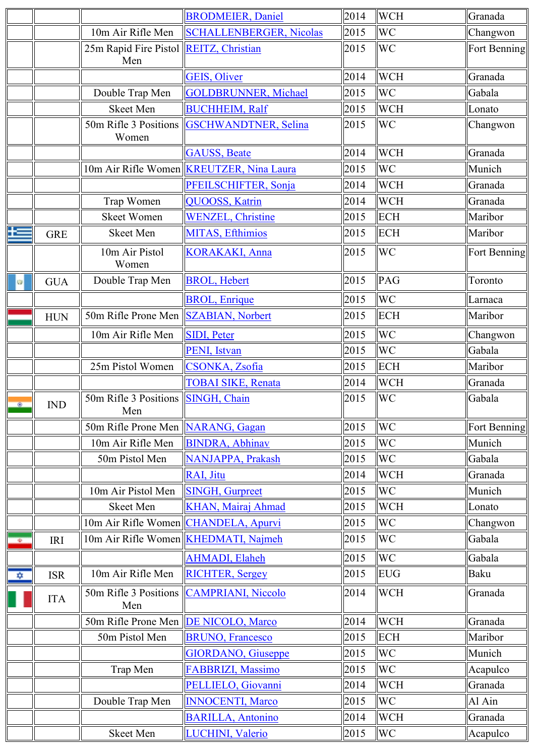|                   |            |                                               | <b>BRODMEIER, Daniel</b>                   | 2014 | <b>WCH</b>  | Granada      |
|-------------------|------------|-----------------------------------------------|--------------------------------------------|------|-------------|--------------|
|                   |            | 10m Air Rifle Men                             | <b>SCHALLENBERGER, Nicolas</b>             | 2015 | WC          | Changwon     |
|                   |            | 25m Rapid Fire Pistol REITZ, Christian<br>Men |                                            | 2015 | <b>WC</b>   | Fort Benning |
|                   |            |                                               | <b>GEIS, Oliver</b>                        | 2014 | <b>WCH</b>  | Granada      |
|                   |            | Double Trap Men                               | <b>GOLDBRUNNER, Michael</b>                | 2015 | <b>WC</b>   | Gabala       |
|                   |            | <b>Skeet Men</b>                              | <b>BUCHHEIM, Ralf</b>                      | 2015 | <b>WCH</b>  | Lonato       |
|                   |            | Women                                         | 50m Rifle 3 Positions GSCHWANDTNER, Selina | 2015 | <b>WC</b>   | Changwon     |
|                   |            |                                               | <b>GAUSS</b> , Beate                       | 2014 | <b>WCH</b>  | Granada      |
|                   |            |                                               | 10m Air Rifle Women KREUTZER, Nina Laura   | 2015 | <b>WC</b>   | Munich       |
|                   |            |                                               | PFEILSCHIFTER, Sonja                       | 2014 | <b>WCH</b>  | Granada      |
|                   |            | Trap Women                                    | QUOOSS, Katrin                             | 2014 | <b>WCH</b>  | Granada      |
|                   |            | <b>Skeet Women</b>                            | <b>WENZEL</b> , Christine                  | 2015 | ECH         | Maribor      |
| Ł                 | <b>GRE</b> | <b>Skeet Men</b>                              | <b>MITAS, Efthimios</b>                    | 2015 | ECH         | Maribor      |
|                   |            | 10m Air Pistol<br>Women                       | <b>KORAKAKI</b> , Anna                     | 2015 | <b>WC</b>   | Fort Benning |
| Ŵ                 | <b>GUA</b> | Double Trap Men                               | <b>BROL, Hebert</b>                        | 2015 | $\vert$ PAG | Toronto      |
|                   |            |                                               | <b>BROL, Enrique</b>                       | 2015 | <b>WC</b>   | Larnaca      |
|                   | <b>HUN</b> | 50m Rifle Prone Men SZABIAN, Norbert          |                                            | 2015 | ECH         | Maribor      |
|                   |            | 10m Air Rifle Men                             | <b>SIDI</b> , Peter                        | 2015 | <b>WC</b>   | Changwon     |
|                   |            |                                               | PENI, Istvan                               | 2015 | WC          | Gabala       |
|                   |            | 25m Pistol Women                              | CSONKA, Zsofia                             | 2015 | ECH         | Maribor      |
|                   |            |                                               | <b>TOBAI SIKE, Renata</b>                  | 2014 | <b>WCH</b>  | Granada      |
| $^{\circ}$        | IND        | 50m Rifle 3 Positions SINGH, Chain<br>Men     |                                            | 2015 | <b>WC</b>   | Gabala       |
|                   |            | 50m Rifle Prone Men NARANG, Gagan             |                                            | 2015 | <b>WC</b>   | Fort Benning |
|                   |            | 10m Air Rifle Men                             | <b>BINDRA, Abhinav</b>                     | 2015 | <b>WC</b>   | Munich       |
|                   |            | 50m Pistol Men                                | NANJAPPA, Prakash                          | 2015 | <b>WC</b>   | Gabala       |
|                   |            |                                               | RAI, Jitu                                  | 2014 | <b>WCH</b>  | Granada      |
|                   |            | 10m Air Pistol Men                            | <b>SINGH, Gurpreet</b>                     | 2015 | <b>WC</b>   | Munich       |
|                   |            | Skeet Men                                     | <b>KHAN, Mairaj Ahmad</b>                  | 2015 | <b>WCH</b>  | Lonato       |
|                   |            | 10m Air Rifle Women CHANDELA, Apurvi          |                                            | 2015 | <b>WC</b>   | Changwon     |
| $\overline{\Phi}$ | <b>IRI</b> |                                               | 10m Air Rifle Women KHEDMATI, Najmeh       | 2015 | <b>WC</b>   | Gabala       |
|                   |            |                                               | <b>AHMADI</b> , Elaheh                     | 2015 | <b>WC</b>   | Gabala       |
|                   |            | 10m Air Rifle Men                             | <b>RICHTER, Sergey</b>                     | 2015 | EUG         | Baku         |
| ✿                 | <b>ISR</b> |                                               |                                            |      |             |              |
|                   | <b>ITA</b> | Men                                           | 50m Rifle 3 Positions CAMPRIANI, Niccolo   | 2014 | <b>WCH</b>  | Granada      |
|                   |            | 50m Rifle Prone Men DE NICOLO, Marco          |                                            | 2014 | <b>WCH</b>  | Granada      |
|                   |            | 50m Pistol Men                                | <b>BRUNO</b> , Francesco                   | 2015 | ECH         | Maribor      |
|                   |            |                                               | <b>GIORDANO</b> , Giuseppe                 | 2015 | <b>WC</b>   | Munich       |
|                   |            | Trap Men                                      | <b>FABBRIZI, Massimo</b>                   | 2015 | <b>WC</b>   | Acapulco     |
|                   |            |                                               | PELLIELO, Giovanni                         | 2014 | <b>WCH</b>  | Granada      |
|                   |            | Double Trap Men                               | <b>INNOCENTI, Marco</b>                    | 2015 | <b>WC</b>   | Al Ain       |
|                   |            |                                               | <b>BARILLA, Antonino</b>                   | 2014 | <b>WCH</b>  | Granada      |
|                   |            | Skeet Men                                     | LUCHINI, Valerio                           | 2015 | <b>WC</b>   | Acapulco     |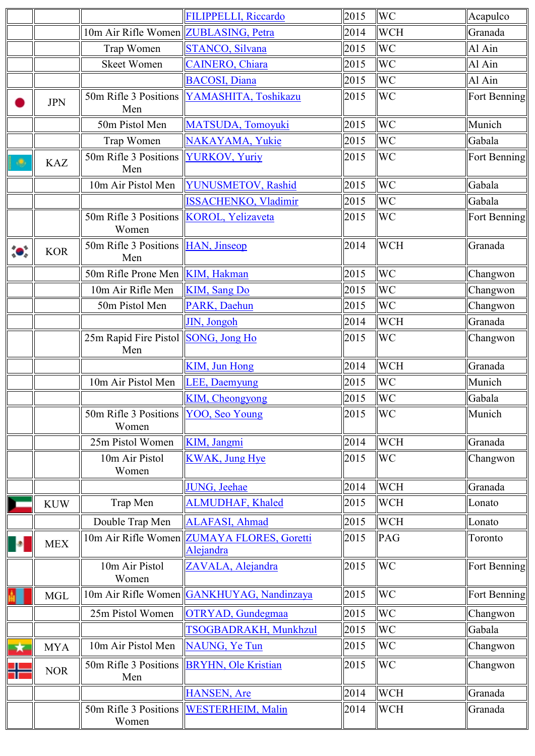|    |            |                                                    | <b>FILIPPELLI, Riccardo</b>                             | 2015 | <b>WC</b>  | Acapulco     |
|----|------------|----------------------------------------------------|---------------------------------------------------------|------|------------|--------------|
|    |            | 10m Air Rifle Women ZUBLASING, Petra               |                                                         | 2014 | <b>WCH</b> | Granada      |
|    |            | Trap Women                                         | <b>STANCO, Silvana</b>                                  | 2015 | <b>WC</b>  | Al Ain       |
|    |            | <b>Skeet Women</b>                                 | <b>CAINERO</b> , Chiara                                 | 2015 | <b>WC</b>  | Al Ain       |
|    |            |                                                    | <b>BACOSI</b> , Diana                                   | 2015 | <b>WC</b>  | Al Ain       |
|    | <b>JPN</b> | 50m Rifle 3 Positions<br>Men                       | YAMASHITA, Toshikazu                                    | 2015 | <b>WC</b>  | Fort Benning |
|    |            | 50m Pistol Men                                     | MATSUDA, Tomoyuki                                       | 2015 | <b>WC</b>  | Munich       |
|    |            | Trap Women                                         | <b>NAKAYAMA, Yukie</b>                                  | 2015 | <b>WC</b>  | Gabala       |
| ۱  | <b>KAZ</b> | 50m Rifle 3 Positions YURKOV, Yuriy<br>Men         |                                                         | 2015 | <b>WC</b>  | Fort Benning |
|    |            | 10m Air Pistol Men                                 | YUNUSMETOV, Rashid                                      | 2015 | <b>WC</b>  | Gabala       |
|    |            |                                                    | <b>ISSACHENKO, Vladimir</b>                             | 2015 | <b>WC</b>  | Gabala       |
|    |            | 50m Rifle 3 Positions   KOROL, Yelizaveta<br>Women |                                                         | 2015 | <b>WC</b>  | Fort Benning |
| ÷. | <b>KOR</b> | 50m Rifle 3 Positions HAN, Jinseop<br>Men          |                                                         | 2014 | <b>WCH</b> | Granada      |
|    |            | 50m Rifle Prone Men   KIM, Hakman                  |                                                         | 2015 | <b>WC</b>  | Changwon     |
|    |            | 10m Air Rifle Men                                  | <b>KIM, Sang Do</b>                                     | 2015 | <b>WC</b>  | Changwon     |
|    |            | 50m Pistol Men                                     | PARK, Daehun                                            | 2015 | <b>WC</b>  | Changwon     |
|    |            |                                                    | JIN, Jongoh                                             | 2014 | <b>WCH</b> | Granada      |
|    |            | 25m Rapid Fire Pistol SONG, Jong Ho<br>Men         |                                                         | 2015 | <b>WC</b>  | Changwon     |
|    |            |                                                    | <b>KIM</b> , Jun Hong                                   | 2014 | <b>WCH</b> | Granada      |
|    |            | 10m Air Pistol Men                                 | <b>LEE</b> , Daemyung                                   | 2015 | <b>WC</b>  | Munich       |
|    |            |                                                    | <b>KIM, Cheongyong</b>                                  | 2015 | <b>WC</b>  | Gabala       |
|    |            | 50m Rifle 3 Positions YOO, Seo Young<br>Women      |                                                         | 2015 | <b>WC</b>  | Munich       |
|    |            | 25m Pistol Women                                   | KIM, Jangmi                                             | 2014 | <b>WCH</b> | Granada      |
|    |            | 10m Air Pistol<br>Women                            | <b>KWAK</b> , Jung Hye                                  | 2015 | <b>WC</b>  | Changwon     |
|    |            |                                                    | <b>JUNG</b> , Jeehae                                    | 2014 | <b>WCH</b> | Granada      |
|    | <b>KUW</b> | Trap Men                                           | <b>ALMUDHAF, Khaled</b>                                 | 2015 | <b>WCH</b> | Lonato       |
|    |            | Double Trap Men                                    | <b>ALAFASI, Ahmad</b>                                   | 2015 | <b>WCH</b> | Lonato       |
|    | <b>MEX</b> |                                                    | 10m Air Rifle Women ZUMAYA FLORES, Goretti<br>Alejandra | 2015 | PAG        | Toronto      |
|    |            | 10m Air Pistol<br>Women                            | ZAVALA, Alejandra                                       | 2015 | <b>WC</b>  | Fort Benning |
|    | <b>MGL</b> |                                                    | 10m Air Rifle Women GANKHUYAG, Nandinzaya               | 2015 | <b>WC</b>  | Fort Benning |
|    |            | 25m Pistol Women                                   | OTRYAD, Gundegmaa                                       | 2015 | <b>WC</b>  | Changwon     |
|    |            |                                                    | TSOGBADRAKH, Munkhzul                                   | 2015 | <b>WC</b>  | Gabala       |
| -∗ | <b>MYA</b> | 10m Air Pistol Men                                 | <b>NAUNG</b> , Ye Tun                                   | 2015 | <b>WC</b>  | Changwon     |
|    | <b>NOR</b> | 50m Rifle 3 Positions<br>Men                       | <b>BRYHN</b> , Ole Kristian                             | 2015 | <b>WC</b>  | Changwon     |
|    |            |                                                    | <b>HANSEN</b> , Are                                     | 2014 | <b>WCH</b> | Granada      |
|    |            | 50m Rifle 3 Positions<br>Women                     | <b>WESTERHEIM, Malin</b>                                | 2014 | <b>WCH</b> | Granada      |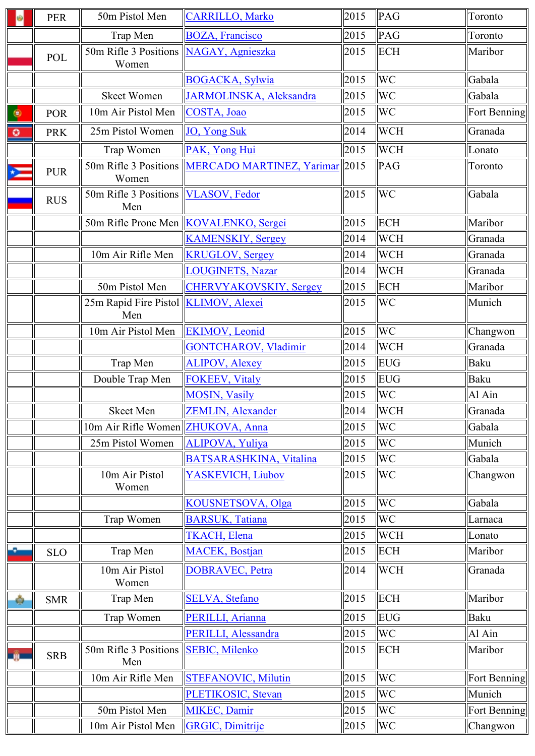| 图         | <b>PER</b> | 50m Pistol Men                                  | <b>CARRILLO, Marko</b>                          | 2015 | PAG        | Toronto      |
|-----------|------------|-------------------------------------------------|-------------------------------------------------|------|------------|--------------|
|           |            | Trap Men                                        | <b>BOZA, Francisco</b>                          | 2015 | PAG        | Toronto      |
|           | POL        | 50m Rifle 3 Positions NAGAY, Agnieszka<br>Women |                                                 | 2015 | ECH        | Maribor      |
|           |            |                                                 | <b>BOGACKA</b> , Sylwia                         | 2015 | <b>WC</b>  | Gabala       |
|           |            | <b>Skeet Women</b>                              | JARMOLINSKA, Aleksandra                         | 2015 | <b>WC</b>  | Gabala       |
| $\bullet$ | <b>POR</b> | 10m Air Pistol Men                              | COSTA, Joao                                     | 2015 | <b>WC</b>  | Fort Benning |
| $\circ$   | <b>PRK</b> | 25m Pistol Women                                | <b>JO, Yong Suk</b>                             | 2014 | <b>WCH</b> | Granada      |
|           |            | Trap Women                                      | PAK, Yong Hui                                   | 2015 | <b>WCH</b> | Lonato       |
|           | <b>PUR</b> | Women                                           | 50m Rifle 3 Positions MERCADO MARTINEZ, Yarimar | 2015 | PAG        | Toronto      |
|           | <b>RUS</b> | 50m Rifle 3 Positions  VLASOV, Fedor<br>Men     |                                                 | 2015 | <b>WC</b>  | Gabala       |
|           |            |                                                 | 50m Rifle Prone Men   KOVALENKO, Sergei         | 2015 | ECH        | Maribor      |
|           |            |                                                 | <b>KAMENSKIY</b> , Sergey                       | 2014 | <b>WCH</b> | Granada      |
|           |            | 10m Air Rifle Men                               | <b>KRUGLOV</b> , Sergey                         | 2014 | <b>WCH</b> | Granada      |
|           |            |                                                 | LOUGINETS, Nazar                                | 2014 | <b>WCH</b> | Granada      |
|           |            | 50m Pistol Men                                  | CHERVYAKOVSKIY, Sergey                          | 2015 | ECH        | Maribor      |
|           |            | 25m Rapid Fire Pistol   KLIMOV, Alexei<br>Men   |                                                 | 2015 | <b>WC</b>  | Munich       |
|           |            | $\overline{10m}$ Air Pistol Men                 | <b>EKIMOV</b> , Leonid                          | 2015 | <b>WC</b>  | Changwon     |
|           |            |                                                 | <b>GONTCHAROV, Vladimir</b>                     | 2014 | <b>WCH</b> | Granada      |
|           |            | Trap Men                                        | <b>ALIPOV, Alexey</b>                           | 2015 | EUG        | Baku         |
|           |            | Double Trap Men                                 | <b>FOKEEV, Vitaly</b>                           | 2015 | EUG        | Baku         |
|           |            |                                                 | <b>MOSIN</b> , Vasily                           | 2015 | <b>WC</b>  | Al Ain       |
|           |            | <b>Skeet Men</b>                                | <b>ZEMLIN</b> , Alexander                       | 2014 | WCH        | Granada      |
|           |            | 10m Air Rifle Women ZHUKOVA, Anna               |                                                 | 2015 | <b>WC</b>  | Gabala       |
|           |            | 25m Pistol Women                                | <b>ALIPOVA</b> , Yuliya                         | 2015 | <b>WC</b>  | Munich       |
|           |            |                                                 | <b>BATSARASHKINA, Vitalina</b>                  | 2015 | <b>WC</b>  | Gabala       |
|           |            | 10m Air Pistol<br>Women                         | YASKEVICH, Liubov                               | 2015 | <b>WC</b>  | Changwon     |
|           |            |                                                 | KOUSNETSOVA, Olga                               | 2015 | <b>WC</b>  | Gabala       |
|           |            | Trap Women                                      | <b>BARSUK</b> , Tatiana                         | 2015 | <b>WC</b>  | Larnaca      |
|           |            |                                                 | <b>TKACH</b> , Elena                            | 2015 | <b>WCH</b> | Lonato       |
|           | <b>SLO</b> | Trap Men                                        | <b>MACEK</b> , Bostjan                          | 2015 | ECH        | Maribor      |
|           |            | 10m Air Pistol<br>Women                         | <b>DOBRAVEC, Petra</b>                          | 2014 | <b>WCH</b> | Granada      |
| ٠         | <b>SMR</b> | Trap Men                                        | <b>SELVA, Stefano</b>                           | 2015 | ECH        | Maribor      |
|           |            | Trap Women                                      | PERILLI, Arianna                                | 2015 | EUG        | Baku         |
|           |            |                                                 | PERILLI, Alessandra                             | 2015 | <b>WC</b>  | Al Ain       |
| 一晚        | <b>SRB</b> | 50m Rifle 3 Positions<br>Men                    | <b>SEBIC, Milenko</b>                           | 2015 | ECH        | Maribor      |
|           |            | 10m Air Rifle Men                               | <b>STEFANOVIC, Milutin</b>                      | 2015 | <b>WC</b>  | Fort Benning |
|           |            |                                                 | PLETIKOSIC, Stevan                              | 2015 | <b>WC</b>  | Munich       |
|           |            | 50m Pistol Men                                  | <b>MIKEC</b> , Damir                            | 2015 | <b>WC</b>  | Fort Benning |
|           |            | 10m Air Pistol Men                              | <b>GRGIC, Dimitrije</b>                         | 2015 | <b>WC</b>  | Changwon     |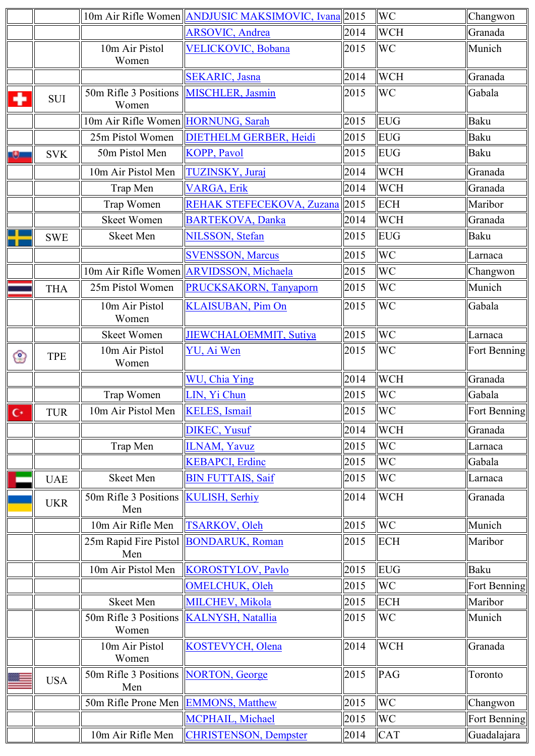|                |            |                                                   | 10m Air Rifle Women ANDJUSIC MAKSIMOVIC, Ivana 2015 |      | <b>WC</b>  | Changwon     |
|----------------|------------|---------------------------------------------------|-----------------------------------------------------|------|------------|--------------|
|                |            |                                                   | <b>ARSOVIC</b> , Andrea                             | 2014 | <b>WCH</b> | Granada      |
|                |            | 10m Air Pistol<br>Women                           | <b>VELICKOVIC, Bobana</b>                           | 2015 | <b>WC</b>  | Munich       |
|                |            |                                                   | <b>SEKARIC</b> , Jasna                              | 2014 | <b>WCH</b> | Granada      |
| ۰              | <b>SUI</b> | 50m Rifle 3 Positions   MISCHLER, Jasmin<br>Women |                                                     | 2015 | <b>WC</b>  | Gabala       |
|                |            | 10m Air Rifle Women HORNUNG, Sarah                |                                                     | 2015 | EUG        | Baku         |
|                |            | 25m Pistol Women                                  | <b>DIETHELM GERBER, Heidi</b>                       | 2015 | EUG        | Baku         |
| -9.            | <b>SVK</b> | 50m Pistol Men                                    | <b>KOPP, Pavol</b>                                  | 2015 | EUG        | Baku         |
|                |            | 10m Air Pistol Men                                | <b>TUZINSKY</b> , Juraj                             | 2014 | <b>WCH</b> | Granada      |
|                |            | Trap Men                                          | VARGA, Erik                                         | 2014 | <b>WCH</b> | Granada      |
|                |            | Trap Women                                        | <b>REHAK STEFECEKOVA, Zuzana 2015</b>               |      | ECH        | Maribor      |
|                |            | <b>Skeet Women</b>                                | <b>BARTEKOVA, Danka</b>                             | 2014 | <b>WCH</b> | Granada      |
|                | <b>SWE</b> | <b>Skeet Men</b>                                  | <b>NILSSON</b> , Stefan                             | 2015 | EUG        | Baku         |
|                |            |                                                   | <b>SVENSSON, Marcus</b>                             | 2015 | <b>WC</b>  | Larnaca      |
|                |            |                                                   | 10m Air Rifle Women ARVIDSSON, Michaela             | 2015 | <b>WC</b>  | Changwon     |
|                | <b>THA</b> | 25m Pistol Women                                  | PRUCKSAKORN, Tanyaporn                              | 2015 | <b>WC</b>  | Munich       |
|                |            | 10m Air Pistol<br>Women                           | <b>KLAISUBAN, Pim On</b>                            | 2015 | <b>WC</b>  | Gabala       |
|                |            | <b>Skeet Women</b>                                | JIEWCHALOEMMIT, Sutiya                              | 2015 | <b>WC</b>  | Larnaca      |
| ☺              | <b>TPE</b> | 10m Air Pistol<br>Women                           | YU, Ai Wen                                          | 2015 | <b>WC</b>  | Fort Benning |
|                |            |                                                   | WU, Chia Ying                                       | 2014 | <b>WCH</b> | Granada      |
|                |            | Trap Women                                        | LIN, Yi Chun                                        | 2015 | <b>WC</b>  | Gabala       |
| $\mathbf{C}^*$ | TUR        | 10m Air Pistol Men                                | <b>KELES</b> , Ismail                               | 2015 | <b>WC</b>  | Fort Benning |
|                |            |                                                   | <b>DIKEC, Yusuf</b>                                 | 2014 | <b>WCH</b> | Granada      |
|                |            | Trap Men                                          | <b>ILNAM, Yavuz</b>                                 | 2015 | <b>WC</b>  | Larnaca      |
|                |            |                                                   | <b>KEBAPCI</b> , Erdinc                             | 2015 | <b>WC</b>  | Gabala       |
|                | <b>UAE</b> | <b>Skeet Men</b>                                  | <b>BIN FUTTAIS, Saif</b>                            | 2015 | <b>WC</b>  | Larnaca      |
|                | <b>UKR</b> | 50m Rifle 3 Positions   KULISH, Serhiy<br>Men     |                                                     | 2014 | <b>WCH</b> | Granada      |
|                |            | 10m Air Rifle Men                                 | <b>TSARKOV, Oleh</b>                                | 2015 | <b>WC</b>  | Munich       |
|                |            | Men                                               | 25m Rapid Fire Pistol BONDARUK, Roman               | 2015 | ECH        | Maribor      |
|                |            | 10m Air Pistol Men                                | <b>KOROSTYLOV, Pavlo</b>                            | 2015 | EUG        | Baku         |
|                |            |                                                   | <b>OMELCHUK, Oleh</b>                               | 2015 | <b>WC</b>  | Fort Benning |
|                |            | <b>Skeet Men</b>                                  | MILCHEV, Mikola                                     | 2015 | ECH        | Maribor      |
|                |            | 50m Rifle 3 Positions<br>Women                    | <b>KALNYSH, Natallia</b>                            | 2015 | <b>WC</b>  | Munich       |
|                |            | 10m Air Pistol<br>Women                           | <b>KOSTEVYCH</b> , Olena                            | 2014 | <b>WCH</b> | Granada      |
|                | <b>USA</b> | 50m Rifle 3 Positions NORTON, George<br>Men       |                                                     | 2015 | PAG        | Toronto      |
|                |            | 50m Rifle Prone Men EMMONS, Matthew               |                                                     | 2015 | <b>WC</b>  | Changwon     |
|                |            |                                                   | MCPHAIL, Michael                                    | 2015 | <b>WC</b>  | Fort Benning |
|                |            | 10m Air Rifle Men                                 | <b>CHRISTENSON, Dempster</b>                        | 2014 | CAT        | Guadalajara  |